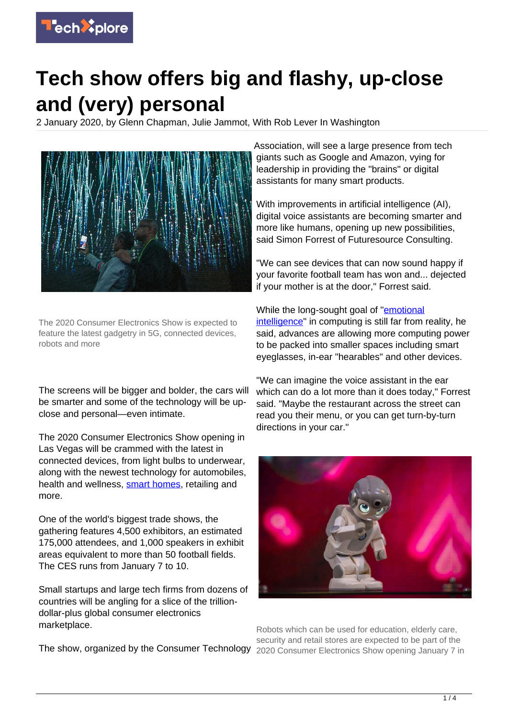

# **Tech show offers big and flashy, up-close and (very) personal**

2 January 2020, by Glenn Chapman, Julie Jammot, With Rob Lever In Washington



The 2020 Consumer Electronics Show is expected to feature the latest gadgetry in 5G, connected devices, robots and more

The screens will be bigger and bolder, the cars will be smarter and some of the technology will be upclose and personal—even intimate.

The 2020 Consumer Electronics Show opening in Las Vegas will be crammed with the latest in connected devices, from light bulbs to underwear, along with the newest technology for automobiles, health and wellness, [smart homes,](https://techxplore.com/tags/smart+homes/) retailing and more.

One of the world's biggest trade shows, the gathering features 4,500 exhibitors, an estimated 175,000 attendees, and 1,000 speakers in exhibit areas equivalent to more than 50 football fields. The CES runs from January 7 to 10.

Small startups and large tech firms from dozens of countries will be angling for a slice of the trilliondollar-plus global consumer electronics marketplace.

Association, will see a large presence from tech giants such as Google and Amazon, vying for leadership in providing the "brains" or digital assistants for many smart products.

With improvements in artificial intelligence (AI), digital voice assistants are becoming smarter and more like humans, opening up new possibilities, said Simon Forrest of Futuresource Consulting.

"We can see devices that can now sound happy if your favorite football team has won and... dejected if your mother is at the door," Forrest said.

While the long-sought goal of "[emotional](https://techxplore.com/tags/emotional+intelligence/)" [intelligence](https://techxplore.com/tags/emotional+intelligence/)" in computing is still far from reality, he said, advances are allowing more computing power to be packed into smaller spaces including smart eyeglasses, in-ear "hearables" and other devices.

"We can imagine the voice assistant in the ear which can do a lot more than it does today," Forrest said. "Maybe the restaurant across the street can read you their menu, or you can get turn-by-turn directions in your car."



The show, organized by the Consumer Technology 2020 Consumer Electronics Show opening January 7 in Robots which can be used for education, elderly care, security and retail stores are expected to be part of the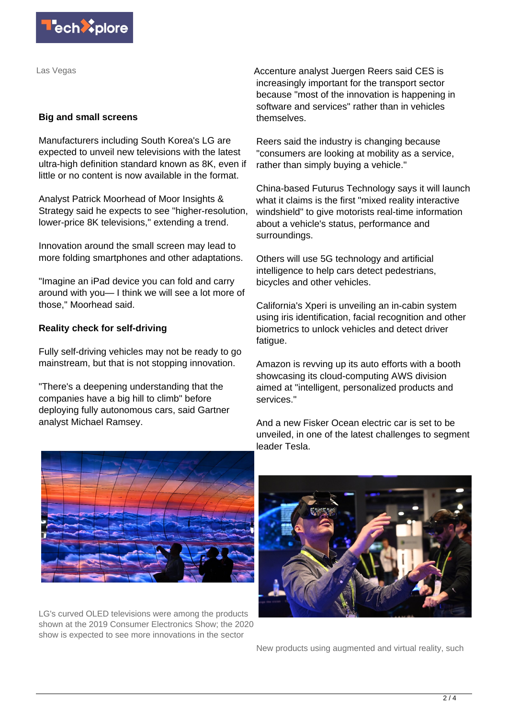

Las Vegas

### **Big and small screens**

Manufacturers including South Korea's LG are expected to unveil new televisions with the latest ultra-high definition standard known as 8K, even if little or no content is now available in the format.

Analyst Patrick Moorhead of Moor Insights & Strategy said he expects to see "higher-resolution, lower-price 8K televisions," extending a trend.

Innovation around the small screen may lead to more folding smartphones and other adaptations.

"Imagine an iPad device you can fold and carry around with you— I think we will see a lot more of those," Moorhead said.

## **Reality check for self-driving**

Fully self-driving vehicles may not be ready to go mainstream, but that is not stopping innovation.

"There's a deepening understanding that the companies have a big hill to climb" before deploying fully autonomous cars, said Gartner analyst Michael Ramsey.

Accenture analyst Juergen Reers said CES is increasingly important for the transport sector because "most of the innovation is happening in software and services" rather than in vehicles themselves.

Reers said the industry is changing because "consumers are looking at mobility as a service, rather than simply buying a vehicle."

China-based Futurus Technology says it will launch what it claims is the first "mixed reality interactive windshield" to give motorists real-time information about a vehicle's status, performance and surroundings.

Others will use 5G technology and artificial intelligence to help cars detect pedestrians, bicycles and other vehicles.

California's Xperi is unveiling an in-cabin system using iris identification, facial recognition and other biometrics to unlock vehicles and detect driver fatigue.

Amazon is revving up its auto efforts with a booth showcasing its cloud-computing AWS division aimed at "intelligent, personalized products and services."

And a new Fisker Ocean electric car is set to be unveiled, in one of the latest challenges to segment leader Tesla.



LG's curved OLED televisions were among the products shown at the 2019 Consumer Electronics Show; the 2020 show is expected to see more innovations in the sector



New products using augmented and virtual reality, such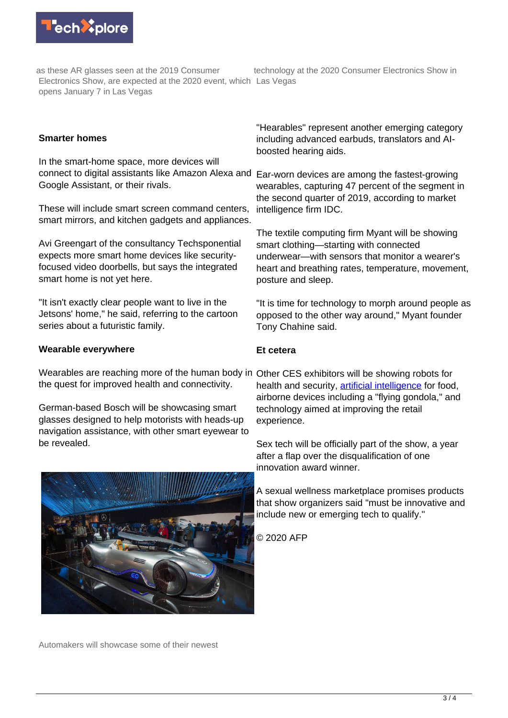

as these AR glasses seen at the 2019 Consumer Electronics Show, are expected at the 2020 event, which Las Vegas opens January 7 in Las Vegas

technology at the 2020 Consumer Electronics Show in

#### **Smarter homes**

In the smart-home space, more devices will connect to digital assistants like Amazon Alexa and Ear-worn devices are among the fastest-growing Google Assistant, or their rivals.

These will include smart screen command centers, smart mirrors, and kitchen gadgets and appliances.

Avi Greengart of the consultancy Techsponential expects more smart home devices like securityfocused video doorbells, but says the integrated smart home is not yet here.

"It isn't exactly clear people want to live in the Jetsons' home," he said, referring to the cartoon series about a futuristic family.

#### **Wearable everywhere**

Wearables are reaching more of the human body in Other CES exhibitors will be showing robots for the quest for improved health and connectivity.

German-based Bosch will be showcasing smart glasses designed to help motorists with heads-up navigation assistance, with other smart eyewear to be revealed.



Automakers will showcase some of their newest

"Hearables" represent another emerging category including advanced earbuds, translators and AIboosted hearing aids.

wearables, capturing 47 percent of the segment in the second quarter of 2019, according to market intelligence firm IDC.

The textile computing firm Myant will be showing smart clothing—starting with connected underwear—with sensors that monitor a wearer's heart and breathing rates, temperature, movement, posture and sleep.

"It is time for technology to morph around people as opposed to the other way around," Myant founder Tony Chahine said.

## **Et cetera**

health and security, [artificial intelligence](https://techxplore.com/tags/artificial+intelligence/) for food, airborne devices including a "flying gondola," and technology aimed at improving the retail experience.

Sex tech will be officially part of the show, a year after a flap over the disqualification of one innovation award winner.

A sexual wellness marketplace promises products that show organizers said "must be innovative and include new or emerging tech to qualify."

© 2020 AFP